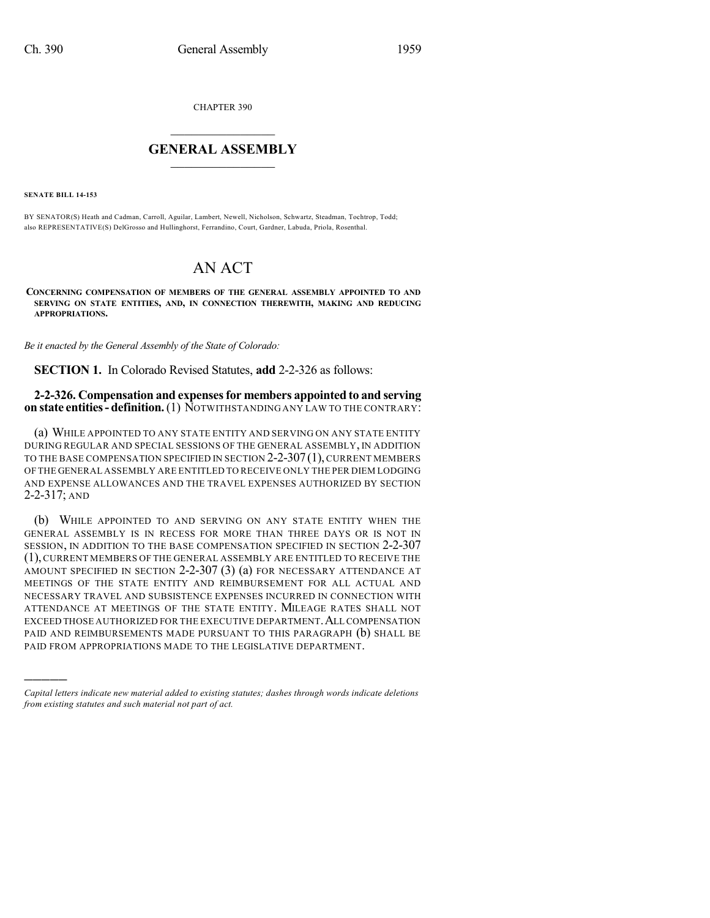CHAPTER 390

## $\overline{\phantom{a}}$  . The set of the set of the set of the set of the set of the set of the set of the set of the set of the set of the set of the set of the set of the set of the set of the set of the set of the set of the set o **GENERAL ASSEMBLY**  $\frac{1}{\sqrt{2}}$

**SENATE BILL 14-153**

)))))

BY SENATOR(S) Heath and Cadman, Carroll, Aguilar, Lambert, Newell, Nicholson, Schwartz, Steadman, Tochtrop, Todd; also REPRESENTATIVE(S) DelGrosso and Hullinghorst, Ferrandino, Court, Gardner, Labuda, Priola, Rosenthal.

## AN ACT

**CONCERNING COMPENSATION OF MEMBERS OF THE GENERAL ASSEMBLY APPOINTED TO AND SERVING ON STATE ENTITIES, AND, IN CONNECTION THEREWITH, MAKING AND REDUCING APPROPRIATIONS.**

*Be it enacted by the General Assembly of the State of Colorado:*

**SECTION 1.** In Colorado Revised Statutes, **add** 2-2-326 as follows:

## **2-2-326. Compensation and expensesfor members appointed to and serving on state entities- definition.**(1) NOTWITHSTANDING ANY LAW TO THE CONTRARY:

(a) WHILE APPOINTED TO ANY STATE ENTITY AND SERVING ON ANY STATE ENTITY DURING REGULAR AND SPECIAL SESSIONS OF THE GENERAL ASSEMBLY, IN ADDITION TO THE BASE COMPENSATION SPECIFIED IN SECTION 2-2-307(1), CURRENT MEMBERS OF THE GENERAL ASSEMBLY ARE ENTITLED TO RECEIVE ONLY THE PER DIEM LODGING AND EXPENSE ALLOWANCES AND THE TRAVEL EXPENSES AUTHORIZED BY SECTION 2-2-317; AND

(b) WHILE APPOINTED TO AND SERVING ON ANY STATE ENTITY WHEN THE GENERAL ASSEMBLY IS IN RECESS FOR MORE THAN THREE DAYS OR IS NOT IN SESSION, IN ADDITION TO THE BASE COMPENSATION SPECIFIED IN SECTION 2-2-307 (1), CURRENT MEMBERS OF THE GENERAL ASSEMBLY ARE ENTITLED TO RECEIVE THE AMOUNT SPECIFIED IN SECTION 2-2-307 (3) (a) FOR NECESSARY ATTENDANCE AT MEETINGS OF THE STATE ENTITY AND REIMBURSEMENT FOR ALL ACTUAL AND NECESSARY TRAVEL AND SUBSISTENCE EXPENSES INCURRED IN CONNECTION WITH ATTENDANCE AT MEETINGS OF THE STATE ENTITY. MILEAGE RATES SHALL NOT EXCEED THOSE AUTHORIZED FOR THE EXECUTIVE DEPARTMENT. ALL COMPENSATION PAID AND REIMBURSEMENTS MADE PURSUANT TO THIS PARAGRAPH (b) SHALL BE PAID FROM APPROPRIATIONS MADE TO THE LEGISLATIVE DEPARTMENT.

*Capital letters indicate new material added to existing statutes; dashes through words indicate deletions from existing statutes and such material not part of act.*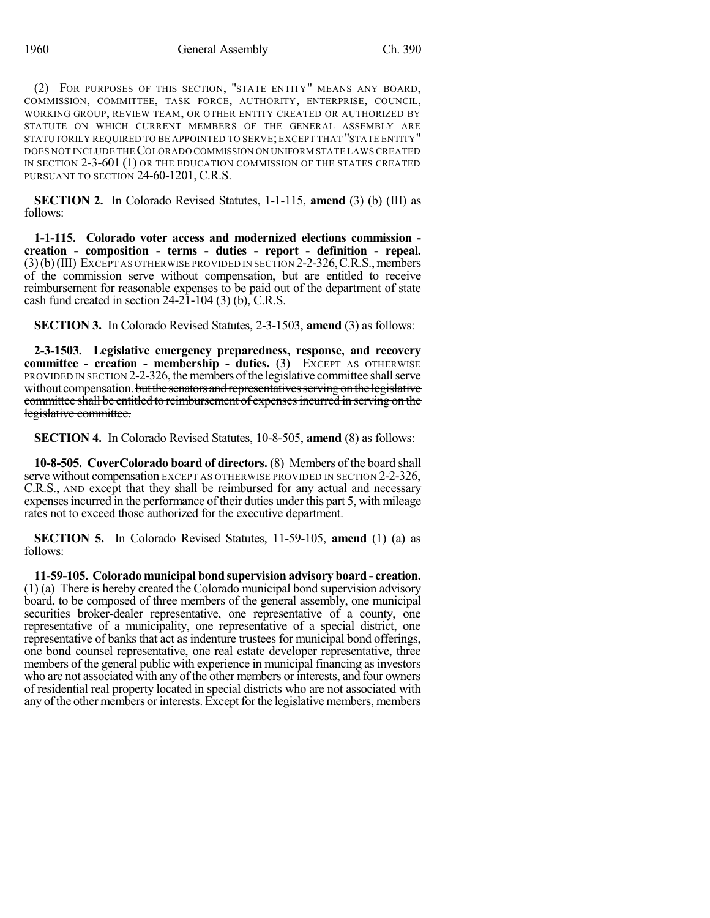(2) FOR PURPOSES OF THIS SECTION, "STATE ENTITY" MEANS ANY BOARD, COMMISSION, COMMITTEE, TASK FORCE, AUTHORITY, ENTERPRISE, COUNCIL, WORKING GROUP, REVIEW TEAM, OR OTHER ENTITY CREATED OR AUTHORIZED BY STATUTE ON WHICH CURRENT MEMBERS OF THE GENERAL ASSEMBLY ARE STATUTORILY REQUIRED TO BE APPOINTED TO SERVE; EXCEPT THAT "STATE ENTITY" DOES NOT INCLUDE THECOLORADO COMMISSION ON UNIFORM STATE LAWS CREATED IN SECTION 2-3-601 (1) OR THE EDUCATION COMMISSION OF THE STATES CREATED PURSUANT TO SECTION 24-60-1201, C.R.S.

**SECTION 2.** In Colorado Revised Statutes, 1-1-115, **amend** (3) (b) (III) as follows:

**1-1-115. Colorado voter access and modernized elections commission creation - composition - terms - duties - report - definition - repeal.**  $(3)(b)(III)$  EXCEPT AS OTHERWISE PROVIDED IN SECTION 2-2-326, C.R.S., members of the commission serve without compensation, but are entitled to receive reimbursement for reasonable expenses to be paid out of the department of state cash fund created in section  $24-2\overline{1}$ -104 (3) (b), C.R.S.

**SECTION 3.** In Colorado Revised Statutes, 2-3-1503, **amend** (3) as follows:

**2-3-1503. Legislative emergency preparedness, response, and recovery committee - creation - membership - duties.** (3) EXCEPT AS OTHERWISE PROVIDED IN SECTION 2-2-326, themembers ofthe legislative committee shallserve without compensation. but the senators and representatives serving on the legislative committee shall be entitled to reimbursement of expenses incurred in serving on the legislative committee.

**SECTION 4.** In Colorado Revised Statutes, 10-8-505, **amend** (8) as follows:

**10-8-505. CoverColorado board of directors.** (8) Members of the board shall serve without compensation EXCEPT AS OTHERWISE PROVIDED IN SECTION 2-2-326, C.R.S., AND except that they shall be reimbursed for any actual and necessary expensesincurred in the performance of their duties under this part 5, with mileage rates not to exceed those authorized for the executive department.

**SECTION 5.** In Colorado Revised Statutes, 11-59-105, **amend** (1) (a) as follows:

**11-59-105. Colorado municipal bond supervision advisory board - creation.** (1) (a) There is hereby created the Colorado municipal bond supervision advisory board, to be composed of three members of the general assembly, one municipal securities broker-dealer representative, one representative of a county, one representative of a municipality, one representative of a special district, one representative of banks that act as indenture trustees for municipal bond offerings, one bond counsel representative, one real estate developer representative, three members of the general public with experience in municipal financing as investors who are not associated with any of the other members or interests, and four owners of residential real property located in special districts who are not associated with any of the other members or interests. Except for the legislative members, members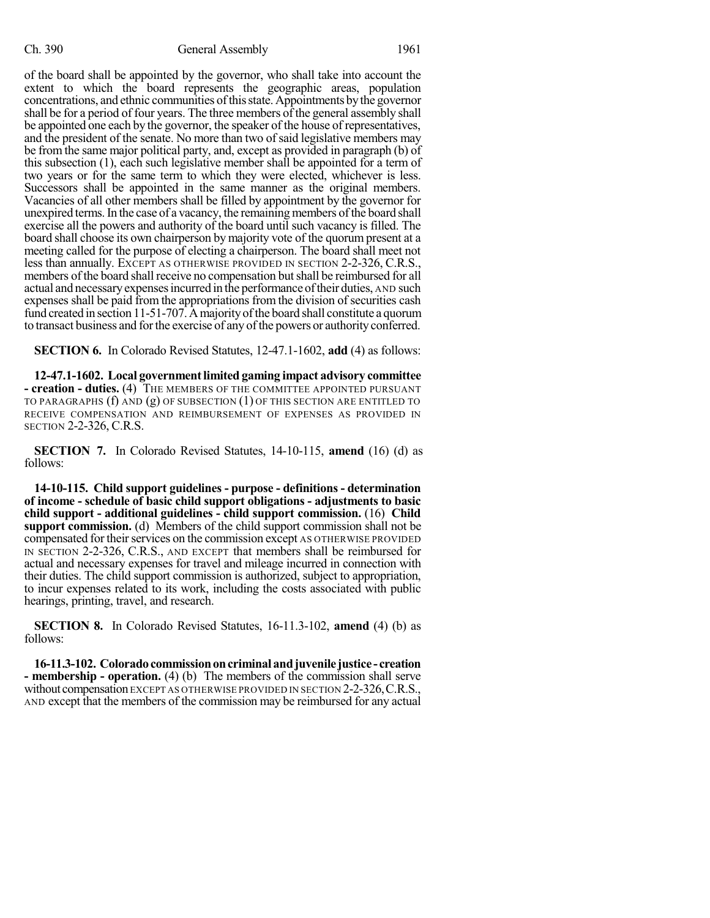of the board shall be appointed by the governor, who shall take into account the extent to which the board represents the geographic areas, population concentrations, and ethnic communities of this state. Appointments by the governor shall be for a period of four years. The three members of the general assembly shall be appointed one each by the governor, the speaker of the house of representatives, and the president of the senate. No more than two of said legislative members may be from the same major political party, and, except as provided in paragraph (b) of this subsection (1), each such legislative member shall be appointed for a term of two years or for the same term to which they were elected, whichever is less. Successors shall be appointed in the same manner as the original members. Vacancies of all other members shall be filled by appointment by the governor for unexpired terms.In the case of a vacancy, the remaining members ofthe board shall exercise all the powers and authority of the board until such vacancy is filled. The board shall choose its own chairperson by majority vote of the quorum present at a meeting called for the purpose of electing a chairperson. The board shall meet not less than annually. EXCEPT AS OTHERWISE PROVIDED IN SECTION 2-2-326, C.R.S., members of the board shall receive no compensation but shall be reimbursed for all actual and necessaryexpensesincurred in the performance oftheir duties, AND such expenses shall be paid from the appropriations from the division of securities cash fund created in section 11-51-707. A majority of the board shall constitute a quorum to transact business and for the exercise of any of the powers or authority conferred.

**SECTION 6.** In Colorado Revised Statutes, 12-47.1-1602, **add** (4) as follows:

**12-47.1-1602. Local governmentlimited gaming impact advisory committee - creation - duties.** (4) THE MEMBERS OF THE COMMITTEE APPOINTED PURSUANT TO PARAGRAPHS  $(f)$  and  $(g)$  of subsection  $(1)$  of this section are entitled to RECEIVE COMPENSATION AND REIMBURSEMENT OF EXPENSES AS PROVIDED IN SECTION 2-2-326, C.R.S.

**SECTION 7.** In Colorado Revised Statutes, 14-10-115, **amend** (16) (d) as follows:

**14-10-115. Child support guidelines - purpose - definitions - determination of income - schedule of basic child support obligations - adjustments to basic child support - additional guidelines - child support commission.** (16) **Child support commission.** (d) Members of the child support commission shall not be compensated for their services on the commission except AS OTHERWISE PROVIDED IN SECTION 2-2-326, C.R.S., AND EXCEPT that members shall be reimbursed for actual and necessary expenses for travel and mileage incurred in connection with their duties. The child support commission is authorized, subject to appropriation, to incur expenses related to its work, including the costs associated with public hearings, printing, travel, and research.

**SECTION 8.** In Colorado Revised Statutes, 16-11.3-102, **amend** (4) (b) as follows:

**16-11.3-102. Coloradocommissiononcriminal andjuvenile justice - creation - membership - operation.** (4) (b) The members of the commission shall serve without compensation EXCEPT AS OTHER WISE PROVIDED IN SECTION 2-2-326, C.R.S., AND except that the members of the commission may be reimbursed for any actual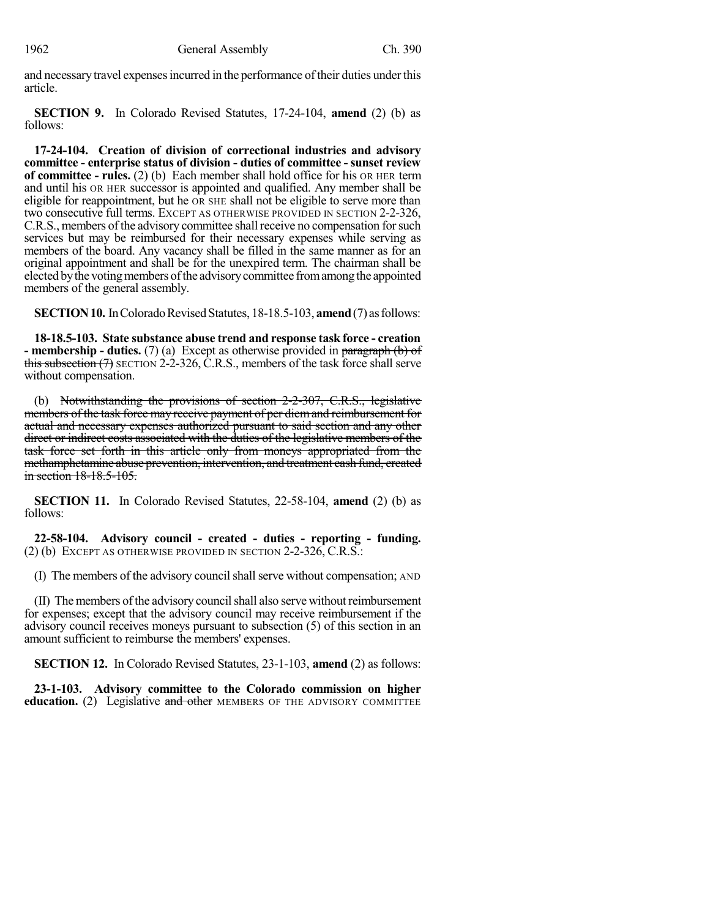and necessary travel expenses incurred in the performance of their duties under this article.

**SECTION 9.** In Colorado Revised Statutes, 17-24-104, **amend** (2) (b) as follows:

**17-24-104. Creation of division of correctional industries and advisory committee - enterprise status of division - duties of committee - sunset review of committee - rules.** (2) (b) Each member shall hold office for his OR HER term and until his OR HER successor is appointed and qualified. Any member shall be eligible for reappointment, but he OR SHE shall not be eligible to serve more than two consecutive full terms. EXCEPT AS OTHERWISE PROVIDED IN SECTION 2-2-326, C.R.S., members of the advisory committee shall receive no compensation for such services but may be reimbursed for their necessary expenses while serving as members of the board. Any vacancy shall be filled in the same manner as for an original appointment and shall be for the unexpired term. The chairman shall be elected by the voting members of the advisory committee from among the appointed members of the general assembly.

**SECTION 10.** In Colorado Revised Statutes, 18-18.5-103, **amend** (7) as follows:

**18-18.5-103. State substance abuse trend and response task force - creation - membership - duties.** (7) (a) Except as otherwise provided in paragraph (b) of this subsection  $(7)$  SECTION 2-2-326, C.R.S., members of the task force shall serve without compensation.

(b) Notwithstanding the provisions of section 2-2-307, C.R.S., legislative members of the task force may receive payment of per diem and reimbursement for actual and necessary expenses authorized pursuant to said section and any other direct or indirect costs associated with the duties of the legislative members of the task force set forth in this article only from moneys appropriated from the methamphetamine abuse prevention, intervention, and treatment cash fund, created in section 18-18.5-105.

**SECTION 11.** In Colorado Revised Statutes, 22-58-104, **amend** (2) (b) as follows:

**22-58-104. Advisory council - created - duties - reporting - funding.** (2) (b) EXCEPT AS OTHERWISE PROVIDED IN SECTION 2-2-326, C.R.S.:

(I) The members of the advisory council shall serve without compensation; AND

(II) The members ofthe advisory councilshall also serve without reimbursement for expenses; except that the advisory council may receive reimbursement if the advisory council receives moneys pursuant to subsection (5) of this section in an amount sufficient to reimburse the members' expenses.

**SECTION 12.** In Colorado Revised Statutes, 23-1-103, **amend** (2) as follows:

**23-1-103. Advisory committee to the Colorado commission on higher education.** (2) Legislative and other MEMBERS OF THE ADVISORY COMMITTEE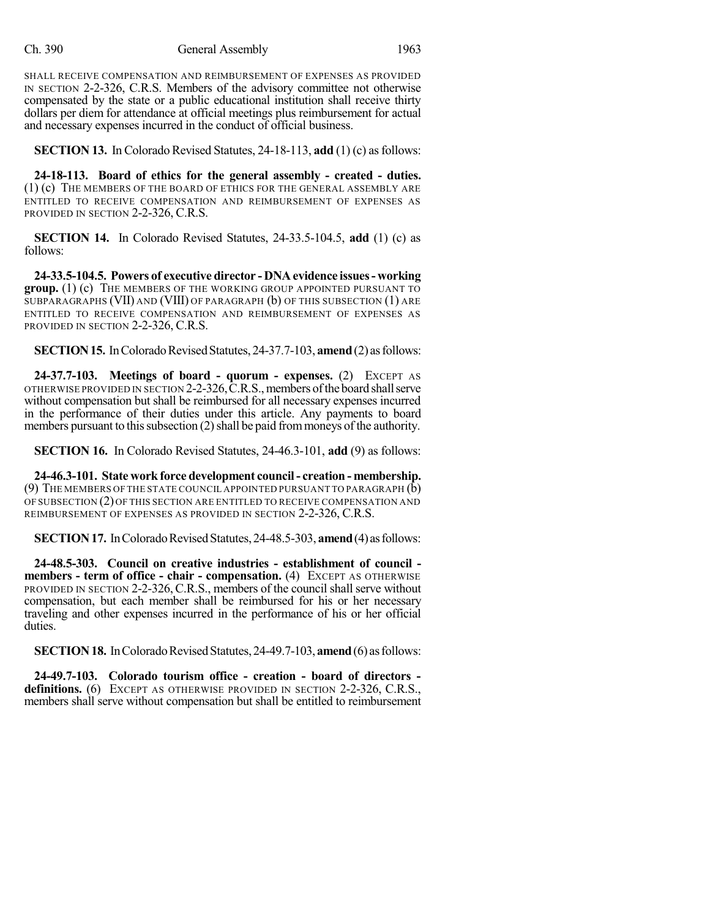SHALL RECEIVE COMPENSATION AND REIMBURSEMENT OF EXPENSES AS PROVIDED IN SECTION 2-2-326, C.R.S. Members of the advisory committee not otherwise compensated by the state or a public educational institution shall receive thirty dollars per diem for attendance at official meetings plus reimbursement for actual and necessary expenses incurred in the conduct of official business.

**SECTION 13.** In Colorado Revised Statutes, 24-18-113, **add** (1) (c) as follows:

**24-18-113. Board of ethics for the general assembly - created - duties.** (1) (c) THE MEMBERS OF THE BOARD OF ETHICS FOR THE GENERAL ASSEMBLY ARE ENTITLED TO RECEIVE COMPENSATION AND REIMBURSEMENT OF EXPENSES AS PROVIDED IN SECTION 2-2-326, C.R.S.

**SECTION 14.** In Colorado Revised Statutes, 24-33.5-104.5, **add** (1) (c) as follows:

**24-33.5-104.5. Powers of executive director - DNAevidence issues- working group.** (1) (c) THE MEMBERS OF THE WORKING GROUP APPOINTED PURSUANT TO SUBPARAGRAPHS (VII) AND (VIII) OF PARAGRAPH (b) OF THIS SUBSECTION (1) ARE ENTITLED TO RECEIVE COMPENSATION AND REIMBURSEMENT OF EXPENSES AS PROVIDED IN SECTION 2-2-326, C.R.S.

**SECTION 15.** In Colorado Revised Statutes, 24-37.7-103, **amend** (2) as follows:

**24-37.7-103. Meetings of board - quorum - expenses.** (2) EXCEPT AS OTHERWISE PROVIDED IN SECTION 2-2-326, C.R.S., members of the board shall serve without compensation but shall be reimbursed for all necessary expenses incurred in the performance of their duties under this article. Any payments to board members pursuant to this subsection  $(2)$  shall be paid from moneys of the authority.

**SECTION 16.** In Colorado Revised Statutes, 24-46.3-101, **add** (9) as follows:

**24-46.3-101. State workforce development council- creation - membership.** (9) THE MEMBERS OF THE STATE COUNCIL APPOINTED PURSUANT TO PARAGRAPH (b) OF SUBSECTION (2) OF THIS SECTION ARE ENTITLED TO RECEIVE COMPENSATION AND REIMBURSEMENT OF EXPENSES AS PROVIDED IN SECTION 2-2-326, C.R.S.

**SECTION 17.** In Colorado Revised Statutes, 24-48.5-303, **amend** (4) as follows:

**24-48.5-303. Council on creative industries - establishment of council members - term of office - chair - compensation.** (4) EXCEPT AS OTHERWISE PROVIDED IN SECTION 2-2-326, C.R.S., members of the council shall serve without compensation, but each member shall be reimbursed for his or her necessary traveling and other expenses incurred in the performance of his or her official duties.

**SECTION 18.** In Colorado Revised Statutes, 24-49.7-103, **amend** (6) as follows:

**24-49.7-103. Colorado tourism office - creation - board of directors**  definitions. (6) EXCEPT AS OTHERWISE PROVIDED IN SECTION 2-2-326, C.R.S., members shall serve without compensation but shall be entitled to reimbursement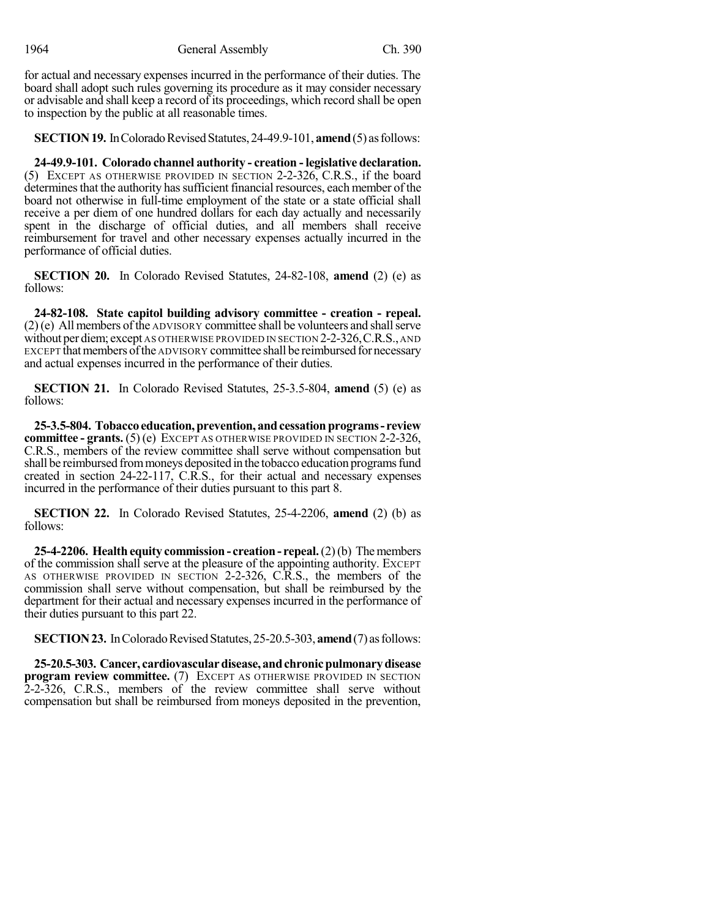1964 General Assembly Ch. 390

for actual and necessary expenses incurred in the performance of their duties. The board shall adopt such rules governing its procedure as it may consider necessary or advisable and shall keep a record of its proceedings, which record shall be open to inspection by the public at all reasonable times.

**SECTION 19.** In Colorado Revised Statutes, 24-49.9-101, **amend** (5) as follows:

**24-49.9-101. Colorado channel authority - creation - legislative declaration.** (5) EXCEPT AS OTHERWISE PROVIDED IN SECTION 2-2-326, C.R.S., if the board determines that the authority has sufficient financial resources, each member of the board not otherwise in full-time employment of the state or a state official shall receive a per diem of one hundred dollars for each day actually and necessarily spent in the discharge of official duties, and all members shall receive reimbursement for travel and other necessary expenses actually incurred in the performance of official duties.

**SECTION 20.** In Colorado Revised Statutes, 24-82-108, **amend** (2) (e) as follows:

**24-82-108. State capitol building advisory committee - creation - repeal.**  $(2)$ (e) All members of the ADVISORY committee shall be volunteers and shall serve without per diem; except AS OTHERWISE PROVIDED IN SECTION 2-2-326, C.R.S., AND EXCEPT that members of the ADVISORY committee shall be reimbursed for necessary and actual expenses incurred in the performance of their duties.

**SECTION 21.** In Colorado Revised Statutes, 25-3.5-804, **amend** (5) (e) as follows:

**25-3.5-804. Tobaccoeducation,prevention, andcessationprograms- review committee - grants.** (5) (e) EXCEPT AS OTHERWISE PROVIDED IN SECTION 2-2-326, C.R.S., members of the review committee shall serve without compensation but shall be reimbursed from moneys deposited in the tobacco education programs fund created in section 24-22-117, C.R.S., for their actual and necessary expenses incurred in the performance of their duties pursuant to this part 8.

**SECTION 22.** In Colorado Revised Statutes, 25-4-2206, **amend** (2) (b) as follows:

**25-4-2206. Health equity commission - creation- repeal.**(2)(b) Themembers of the commission shall serve at the pleasure of the appointing authority. EXCEPT AS OTHERWISE PROVIDED IN SECTION 2-2-326, C.R.S., the members of the commission shall serve without compensation, but shall be reimbursed by the department for their actual and necessary expenses incurred in the performance of their duties pursuant to this part 22.

**SECTION 23.** In Colorado Revised Statutes, 25-20.5-303, **amend** (7) as follows:

**25-20.5-303. Cancer, cardiovasculardisease, andchronicpulmonarydisease program review committee.** (7) EXCEPT AS OTHERWISE PROVIDED IN SECTION 2-2-326, C.R.S., members of the review committee shall serve without compensation but shall be reimbursed from moneys deposited in the prevention,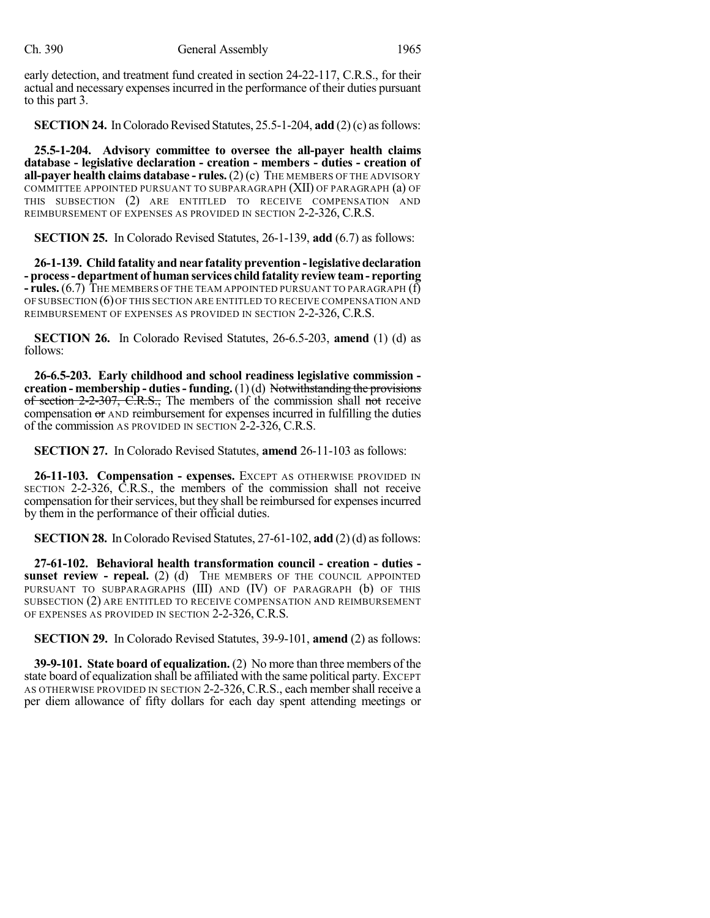early detection, and treatment fund created in section 24-22-117, C.R.S., for their actual and necessary expensesincurred in the performance of their duties pursuant to this part 3.

**SECTION 24.** In Colorado Revised Statutes, 25.5-1-204, **add** (2)(c) as follows:

**25.5-1-204. Advisory committee to oversee the all-payer health claims database - legislative declaration - creation - members - duties - creation of all-payer health claims database - rules.** (2) (c) THE MEMBERS OF THE ADVISORY COMMITTEE APPOINTED PURSUANT TO SUBPARAGRAPH (XII) OF PARAGRAPH (a) OF THIS SUBSECTION (2) ARE ENTITLED TO RECEIVE COMPENSATION AND REIMBURSEMENT OF EXPENSES AS PROVIDED IN SECTION 2-2-326, C.R.S.

**SECTION 25.** In Colorado Revised Statutes, 26-1-139, **add** (6.7) as follows:

**26-1-139. Child fatality and near fatality prevention -legislative declaration - process- department of human services child fatality review team- reporting - rules.**(6.7) THE MEMBERS OF THE TEAM APPOINTED PURSUANT TO PARAGRAPH (f) OF SUBSECTION (6)OF THIS SECTION ARE ENTITLED TO RECEIVE COMPENSATION AND REIMBURSEMENT OF EXPENSES AS PROVIDED IN SECTION 2-2-326, C.R.S.

**SECTION 26.** In Colorado Revised Statutes, 26-6.5-203, **amend** (1) (d) as follows:

**26-6.5-203. Early childhood and school readiness legislative commission creation - membership - duties- funding.** (1)(d) Notwithstanding the provisions of section 2-2-307, C.R.S., The members of the commission shall not receive compensation or AND reimbursement for expenses incurred in fulfilling the duties of the commission AS PROVIDED IN SECTION 2-2-326, C.R.S.

**SECTION 27.** In Colorado Revised Statutes, **amend** 26-11-103 as follows:

**26-11-103. Compensation - expenses.** EXCEPT AS OTHERWISE PROVIDED IN SECTION 2-2-326, C.R.S., the members of the commission shall not receive compensation for their services, but they shall be reimbursed for expenses incurred by them in the performance of their official duties.

**SECTION 28.** In Colorado Revised Statutes, 27-61-102, **add** (2)(d) as follows:

**27-61-102. Behavioral health transformation council - creation - duties sunset review - repeal.** (2) (d) THE MEMBERS OF THE COUNCIL APPOINTED PURSUANT TO SUBPARAGRAPHS (III) AND (IV) OF PARAGRAPH (b) OF THIS SUBSECTION (2) ARE ENTITLED TO RECEIVE COMPENSATION AND REIMBURSEMENT OF EXPENSES AS PROVIDED IN SECTION 2-2-326, C.R.S.

**SECTION 29.** In Colorado Revised Statutes, 39-9-101, **amend** (2) as follows:

**39-9-101. State board of equalization.** (2) No more than three members of the state board of equalization shall be affiliated with the same political party. EXCEPT AS OTHERWISE PROVIDED IN SECTION 2-2-326, C.R.S., each member shall receive a per diem allowance of fifty dollars for each day spent attending meetings or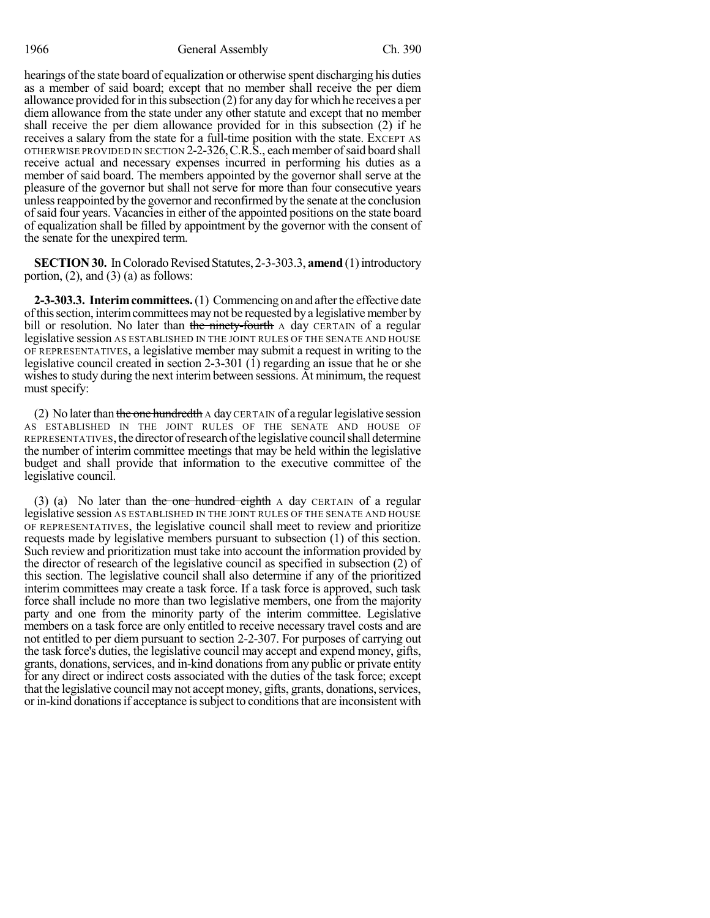hearings of the state board of equalization or otherwise spent discharging his duties as a member of said board; except that no member shall receive the per diem allowance provided for in this subsection  $(2)$  for any day for which he receives a per diem allowance from the state under any other statute and except that no member shall receive the per diem allowance provided for in this subsection (2) if he receives a salary from the state for a full-time position with the state. EXCEPT AS OTHERWISE PROVIDED IN SECTION 2-2-326,C.R.S., each member ofsaid board shall receive actual and necessary expenses incurred in performing his duties as a member of said board. The members appointed by the governor shall serve at the pleasure of the governor but shall not serve for more than four consecutive years unless reappointed by the governor and reconfirmed by the senate at the conclusion ofsaid four years. Vacanciesin either of the appointed positions on the state board of equalization shall be filled by appointment by the governor with the consent of the senate for the unexpired term.

**SECTION 30.** In Colorado Revised Statutes, 2-3-303.3, **amend** (1) introductory portion,  $(2)$ , and  $(3)$   $(a)$  as follows:

**2-3-303.3. Interimcommittees.**(1) Commencing on and afterthe effective date ofthissection, interimcommittees may not be requested by a legislativemember by bill or resolution. No later than the ninety-fourth A day CERTAIN of a regular legislative session AS ESTABLISHED IN THE JOINT RULES OF THE SENATE AND HOUSE OF REPRESENTATIVES, a legislative member may submit a request in writing to the legislative council created in section 2-3-301 (1) regarding an issue that he or she wishes to study during the next interim between sessions. At minimum, the request must specify:

(2) No later than the one hundredth  $\Delta$  day CERTAIN of a regular legislative session AS ESTABLISHED IN THE JOINT RULES OF THE SENATE AND HOUSE OF REPRESENTATIVES, the director of research of the legislative council shall determine the number of interim committee meetings that may be held within the legislative budget and shall provide that information to the executive committee of the legislative council.

(3) (a) No later than the one hundred eighth A day CERTAIN of a regular legislative session AS ESTABLISHED IN THE JOINT RULES OF THE SENATE AND HOUSE OF REPRESENTATIVES, the legislative council shall meet to review and prioritize requests made by legislative members pursuant to subsection (1) of this section. Such review and prioritization must take into account the information provided by the director of research of the legislative council as specified in subsection (2) of this section. The legislative council shall also determine if any of the prioritized interim committees may create a task force. If a task force is approved, such task force shall include no more than two legislative members, one from the majority party and one from the minority party of the interim committee. Legislative members on a task force are only entitled to receive necessary travel costs and are not entitled to per diem pursuant to section 2-2-307. For purposes of carrying out the task force's duties, the legislative council may accept and expend money, gifts, grants, donations, services, and in-kind donations from any public or private entity for any direct or indirect costs associated with the duties of the task force; except that the legislative council may not accept money, gifts, grants, donations, services, or in-kind donationsif acceptance issubject to conditionsthat are inconsistent with